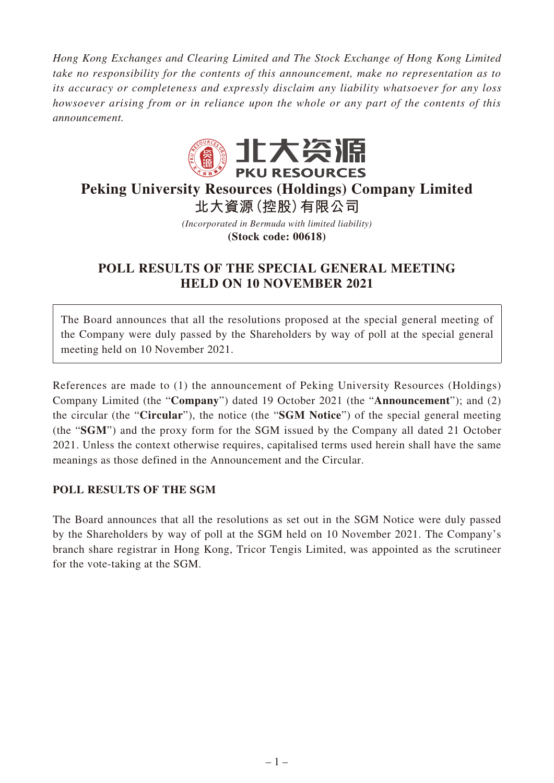*Hong Kong Exchanges and Clearing Limited and The Stock Exchange of Hong Kong Limited take no responsibility for the contents of this announcement, make no representation as to its accuracy or completeness and expressly disclaim any liability whatsoever for any loss howsoever arising from or in reliance upon the whole or any part of the contents of this announcement.*



## **Peking University Resources (Holdings) Company Limited 北大資源(控股)有限公司**

*(Incorporated in Bermuda with limited liability)*

**(Stock code: 00618)**

## **POLL RESULTS OF THE SPECIAL GENERAL MEETING HELD ON 10 NOVEMBER 2021**

The Board announces that all the resolutions proposed at the special general meeting of the Company were duly passed by the Shareholders by way of poll at the special general meeting held on 10 November 2021.

References are made to (1) the announcement of Peking University Resources (Holdings) Company Limited (the "**Company**") dated 19 October 2021 (the "**Announcement**"); and (2) the circular (the "**Circular**"), the notice (the "**SGM Notice**") of the special general meeting (the "**SGM**") and the proxy form for the SGM issued by the Company all dated 21 October 2021. Unless the context otherwise requires, capitalised terms used herein shall have the same meanings as those defined in the Announcement and the Circular.

### **POLL RESULTS OF THE SGM**

The Board announces that all the resolutions as set out in the SGM Notice were duly passed by the Shareholders by way of poll at the SGM held on 10 November 2021. The Company's branch share registrar in Hong Kong, Tricor Tengis Limited, was appointed as the scrutineer for the vote-taking at the SGM.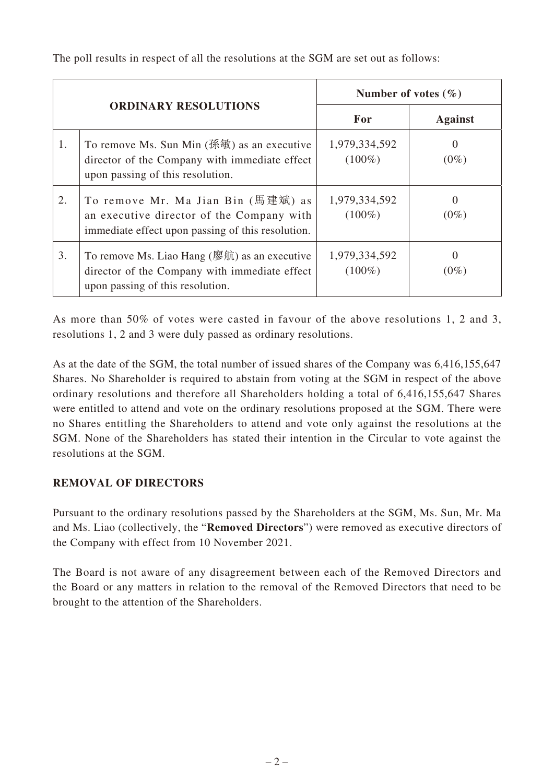The poll results in respect of all the resolutions at the SGM are set out as follows:

| <b>ORDINARY RESOLUTIONS</b> |                                                                                                                                                                | Number of votes $(\% )$    |                     |
|-----------------------------|----------------------------------------------------------------------------------------------------------------------------------------------------------------|----------------------------|---------------------|
|                             |                                                                                                                                                                | For                        | <b>Against</b>      |
| 1.                          | To remove Ms. Sun Min $(\mathcal{B}\otimes\mathcal{B})$ as an executive<br>director of the Company with immediate effect<br>upon passing of this resolution.   | 1,979,334,592<br>$(100\%)$ | $\Omega$<br>$(0\%)$ |
| 2.                          | To remove Mr. Ma Jian Bin (馬建斌) as<br>an executive director of the Company with<br>immediate effect upon passing of this resolution.                           | 1,979,334,592<br>$(100\%)$ | $\theta$<br>$(0\%)$ |
| 3.                          | To remove Ms. Liao Hang $(\mathcal{B}, \hat{\mathbb{H}})$ as an executive<br>director of the Company with immediate effect<br>upon passing of this resolution. | 1,979,334,592<br>$(100\%)$ | $\Omega$<br>$(0\%)$ |

As more than 50% of votes were casted in favour of the above resolutions 1, 2 and 3, resolutions 1, 2 and 3 were duly passed as ordinary resolutions.

As at the date of the SGM, the total number of issued shares of the Company was 6,416,155,647 Shares. No Shareholder is required to abstain from voting at the SGM in respect of the above ordinary resolutions and therefore all Shareholders holding a total of 6,416,155,647 Shares were entitled to attend and vote on the ordinary resolutions proposed at the SGM. There were no Shares entitling the Shareholders to attend and vote only against the resolutions at the SGM. None of the Shareholders has stated their intention in the Circular to vote against the resolutions at the SGM.

### **REMOVAL OF DIRECTORS**

Pursuant to the ordinary resolutions passed by the Shareholders at the SGM, Ms. Sun, Mr. Ma and Ms. Liao (collectively, the "**Removed Directors**") were removed as executive directors of the Company with effect from 10 November 2021.

The Board is not aware of any disagreement between each of the Removed Directors and the Board or any matters in relation to the removal of the Removed Directors that need to be brought to the attention of the Shareholders.